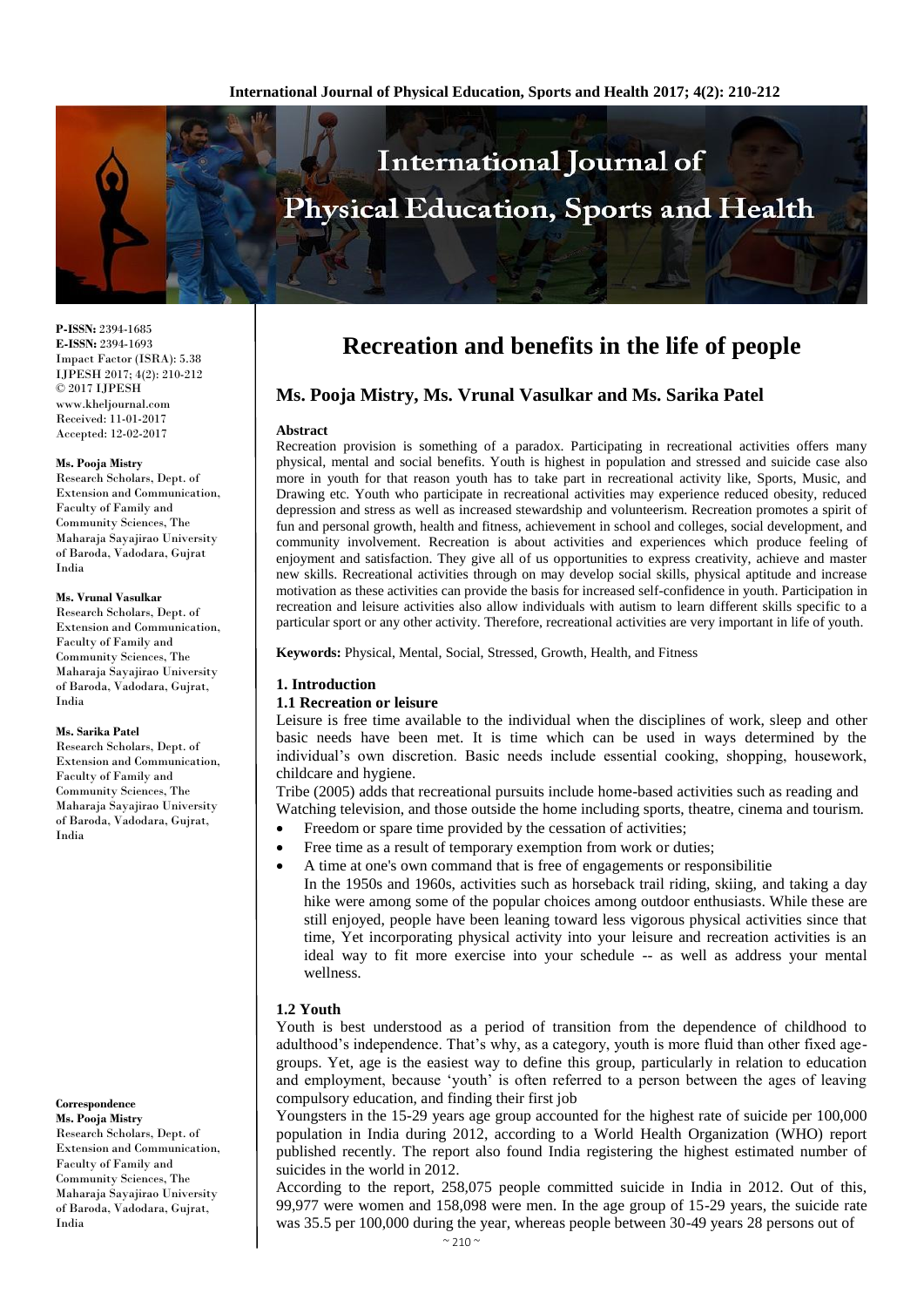

**P-ISSN:** 2394-1685 **E-ISSN:** 2394-1693 Impact Factor (ISRA): 5.38 IJPESH 2017; 4(2): 210-212 © 2017 IJPESH www.kheljournal.com Received: 11-01-2017 Accepted: 12-02-2017

#### **Ms. Pooja Mistry**

Research Scholars, Dept. of Extension and Communication, Faculty of Family and Community Sciences, The Maharaja Sayajirao University of Baroda, Vadodara, Gujrat India

#### **Ms. Vrunal Vasulkar**

Research Scholars, Dept. of Extension and Communication, Faculty of Family and Community Sciences, The Maharaja Sayajirao University of Baroda, Vadodara, Gujrat, India

#### **Ms. Sarika Patel**

Research Scholars, Dept. of Extension and Communication, Faculty of Family and Community Sciences, The Maharaja Sayajirao University of Baroda, Vadodara, Gujrat, India

**Correspondence Ms. Pooja Mistry** Research Scholars, Dept. of Extension and Communication, Faculty of Family and Community Sciences, The Maharaja Sayajirao University of Baroda, Vadodara, Gujrat, India

# **Recreation and benefits in the life of people**

# **Ms. Pooja Mistry, Ms. Vrunal Vasulkar and Ms. Sarika Patel**

#### **Abstract**

Recreation provision is something of a paradox. Participating in recreational activities offers many physical, mental and social benefits. Youth is highest in population and stressed and suicide case also more in youth for that reason youth has to take part in recreational activity like, Sports, Music, and Drawing etc. Youth who participate in recreational activities may experience reduced obesity, reduced depression and stress as well as increased stewardship and volunteerism. Recreation promotes a spirit of fun and personal growth, health and fitness, achievement in school and colleges, social development, and community involvement. Recreation is about activities and experiences which produce feeling of enjoyment and satisfaction. They give all of us opportunities to express creativity, achieve and master new skills. Recreational activities through on may develop social skills, physical aptitude and increase motivation as these activities can provide the basis for increased self-confidence in youth. Participation in recreation and leisure activities also allow individuals with autism to learn different skills specific to a particular sport or any other activity. Therefore, recreational activities are very important in life of youth.

**Keywords:** Physical, Mental, Social, Stressed, Growth, Health, and Fitness

## **1. Introduction**

#### **1.1 Recreation or leisure**

Leisure is free time available to the individual when the disciplines of work, sleep and other basic needs have been met. It is time which can be used in ways determined by the individual's own discretion. Basic needs include essential cooking, shopping, housework, childcare and hygiene.

Tribe (2005) adds that recreational pursuits include home-based activities such as reading and Watching television, and those outside the home including sports, theatre, cinema and tourism.

- Freedom or spare time provided by the cessation of activities;
- Free time as a result of temporary exemption from work or duties;
- A time at one's own command that is free of engagements or responsibilitie
	- In the 1950s and 1960s, activities such as horseback trail riding, skiing, and taking a day hike were among some of the popular choices among outdoor enthusiasts. While these are still enjoyed, people have been leaning toward less vigorous physical activities since that time, Yet incorporating physical activity into your leisure and recreation activities is an ideal way to fit more exercise into your schedule -- as well as address your mental wellness.

#### **1.2 Youth**

Youth is best understood as a period of transition from the dependence of childhood to adulthood's independence. That's why, as a category, youth is more fluid than other fixed agegroups. Yet, age is the easiest way to define this group, particularly in relation to education and employment, because 'youth' is often referred to a person between the ages of leaving compulsory education, and finding their first job

Youngsters in the 15-29 years age group accounted for the highest rate of suicide per 100,000 population in India during 2012, according to a World Health Organization (WHO) report published recently. The report also found India registering the highest estimated number of suicides in the world in 2012.

According to the report, 258,075 people committed suicide in India in 2012. Out of this, 99,977 were women and 158,098 were men. In the age group of 15-29 years, the suicide rate was 35.5 per 100,000 during the year, whereas people between 30-49 years 28 persons out of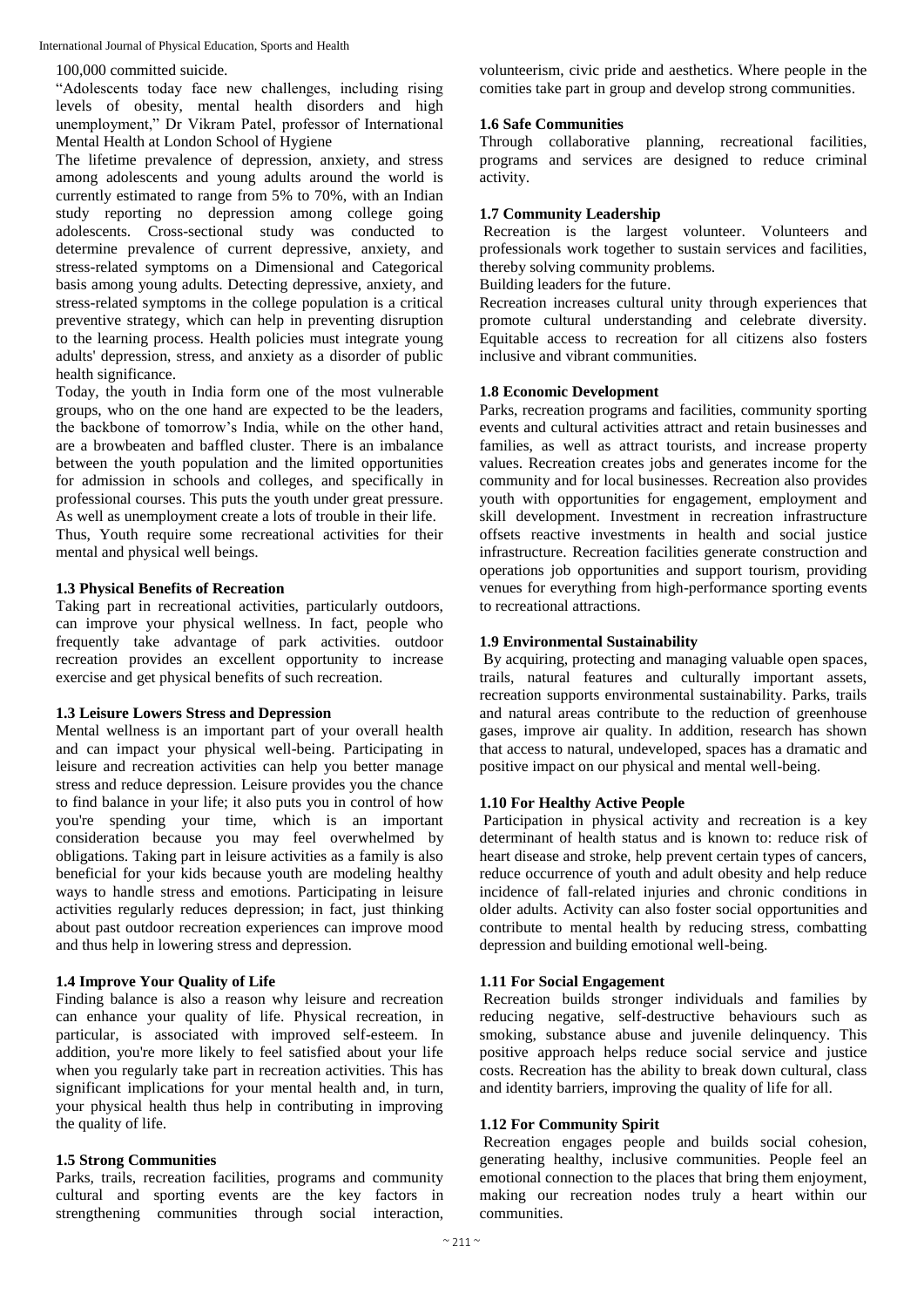International Journal of Physical Education, Sports and Health

#### 100,000 committed suicide.

"Adolescents today face new challenges, including rising levels of obesity, mental health disorders and high unemployment," Dr Vikram Patel, professor of International Mental Health at London School of Hygiene

The lifetime prevalence of depression, anxiety, and stress among adolescents and young adults around the world is currently estimated to range from 5% to 70%, with an Indian study reporting no depression among college going adolescents. Cross-sectional study was conducted to determine prevalence of current depressive, anxiety, and stress-related symptoms on a Dimensional and Categorical basis among young adults. Detecting depressive, anxiety, and stress-related symptoms in the college population is a critical preventive strategy, which can help in preventing disruption to the learning process. Health policies must integrate young adults' depression, stress, and anxiety as a disorder of public health significance.

Today, the youth in India form one of the most vulnerable groups, who on the one hand are expected to be the leaders, the backbone of tomorrow's India, while on the other hand, are a browbeaten and baffled cluster. There is an imbalance between the youth population and the limited opportunities for admission in schools and colleges, and specifically in professional courses. This puts the youth under great pressure. As well as unemployment create a lots of trouble in their life.

Thus, Youth require some recreational activities for their mental and physical well beings.

## **1.3 Physical Benefits of Recreation**

Taking part in recreational activities, particularly outdoors, can improve your physical wellness. In fact, people who frequently take advantage of park activities. outdoor recreation provides an excellent opportunity to increase exercise and get physical benefits of such recreation.

#### **1.3 Leisure Lowers Stress and Depression**

Mental wellness is an important part of your overall health and can impact your physical well-being. Participating in leisure and recreation activities can help you better manage stress and reduce depression. Leisure provides you the chance to find balance in your life; it also puts you in control of how you're spending your time, which is an important consideration because you may feel overwhelmed by obligations. Taking part in leisure activities as a family is also beneficial for your kids because youth are modeling healthy ways to handle stress and emotions. Participating in leisure activities regularly reduces depression; in fact, just thinking about past outdoor recreation experiences can improve mood and thus help in lowering stress and depression.

## **1.4 Improve Your Quality of Life**

Finding balance is also a reason why leisure and recreation can enhance your quality of life. Physical recreation, in particular, is associated with improved self-esteem. In addition, you're more likely to feel satisfied about your life when you regularly take part in recreation activities. This has significant implications for your mental health and, in turn, your physical health thus help in contributing in improving the quality of life.

## **1.5 Strong Communities**

Parks, trails, recreation facilities, programs and community cultural and sporting events are the key factors in strengthening communities through social interaction,

volunteerism, civic pride and aesthetics. Where people in the comities take part in group and develop strong communities.

## **1.6 Safe Communities**

Through collaborative planning, recreational facilities, programs and services are designed to reduce criminal activity.

## **1.7 Community Leadership**

Recreation is the largest volunteer. Volunteers and professionals work together to sustain services and facilities, thereby solving community problems.

Building leaders for the future.

Recreation increases cultural unity through experiences that promote cultural understanding and celebrate diversity. Equitable access to recreation for all citizens also fosters inclusive and vibrant communities.

#### **1.8 Economic Development**

Parks, recreation programs and facilities, community sporting events and cultural activities attract and retain businesses and families, as well as attract tourists, and increase property values. Recreation creates jobs and generates income for the community and for local businesses. Recreation also provides youth with opportunities for engagement, employment and skill development. Investment in recreation infrastructure offsets reactive investments in health and social justice infrastructure. Recreation facilities generate construction and operations job opportunities and support tourism, providing venues for everything from high-performance sporting events to recreational attractions.

#### **1.9 Environmental Sustainability**

By acquiring, protecting and managing valuable open spaces, trails, natural features and culturally important assets, recreation supports environmental sustainability. Parks, trails and natural areas contribute to the reduction of greenhouse gases, improve air quality. In addition, research has shown that access to natural, undeveloped, spaces has a dramatic and positive impact on our physical and mental well-being.

## **1.10 For Healthy Active People**

Participation in physical activity and recreation is a key determinant of health status and is known to: reduce risk of heart disease and stroke, help prevent certain types of cancers, reduce occurrence of youth and adult obesity and help reduce incidence of fall-related injuries and chronic conditions in older adults. Activity can also foster social opportunities and contribute to mental health by reducing stress, combatting depression and building emotional well-being.

## **1.11 For Social Engagement**

Recreation builds stronger individuals and families by reducing negative, self-destructive behaviours such as smoking, substance abuse and juvenile delinquency. This positive approach helps reduce social service and justice costs. Recreation has the ability to break down cultural, class and identity barriers, improving the quality of life for all.

#### **1.12 For Community Spirit**

Recreation engages people and builds social cohesion, generating healthy, inclusive communities. People feel an emotional connection to the places that bring them enjoyment, making our recreation nodes truly a heart within our communities.